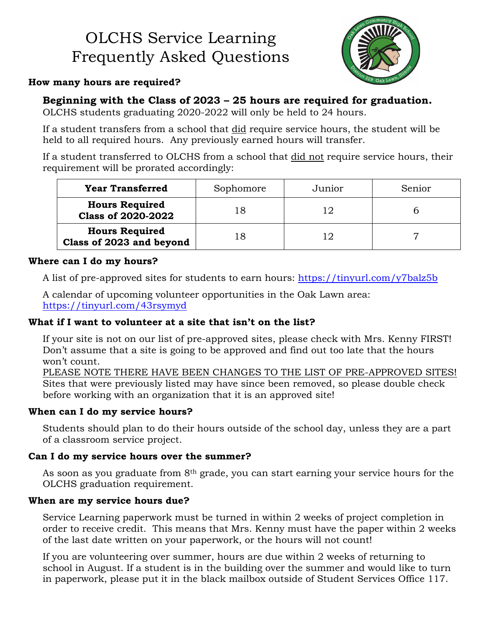# OLCHS Service Learning Frequently Asked Questions



## **How many hours are required?**

## **Beginning with the Class of 2023 – 25 hours are required for graduation.**

OLCHS students graduating 2020-2022 will only be held to 24 hours.

If a student transfers from a school that did require service hours, the student will be held to all required hours. Any previously earned hours will transfer.

If a student transferred to OLCHS from a school that did not require service hours, their requirement will be prorated accordingly:

| <b>Year Transferred</b>                            | Sophomore | Junior | Senior |
|----------------------------------------------------|-----------|--------|--------|
| <b>Hours Required</b><br><b>Class of 2020-2022</b> |           |        |        |
| <b>Hours Required</b><br>Class of 2023 and beyond  |           |        |        |

#### **Where can I do my hours?**

A list of pre-approved sites for students to earn hours: https://tinyurl.com/y7balz5b

A calendar of upcoming volunteer opportunities in the Oak Lawn area: https://tinyurl.com/43rsymyd

## **What if I want to volunteer at a site that isn't on the list?**

If your site is not on our list of pre-approved sites, please check with Mrs. Kenny FIRST! Don't assume that a site is going to be approved and find out too late that the hours won't count.

PLEASE NOTE THERE HAVE BEEN CHANGES TO THE LIST OF PRE-APPROVED SITES! Sites that were previously listed may have since been removed, so please double check before working with an organization that it is an approved site!

## **When can I do my service hours?**

Students should plan to do their hours outside of the school day, unless they are a part of a classroom service project.

## **Can I do my service hours over the summer?**

As soon as you graduate from 8<sup>th</sup> grade, you can start earning your service hours for the OLCHS graduation requirement.

## **When are my service hours due?**

Service Learning paperwork must be turned in within 2 weeks of project completion in order to receive credit. This means that Mrs. Kenny must have the paper within 2 weeks of the last date written on your paperwork, or the hours will not count!

If you are volunteering over summer, hours are due within 2 weeks of returning to school in August. If a student is in the building over the summer and would like to turn in paperwork, please put it in the black mailbox outside of Student Services Office 117.